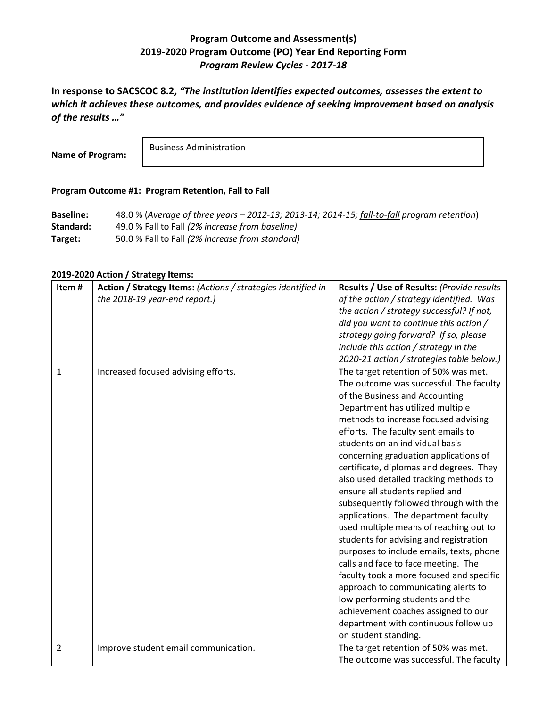## **Program Outcome and Assessment(s) 2019-2020 Program Outcome (PO) Year End Reporting Form** *Program Review Cycles - 2017-18*

**In response to SACSCOC 8.2,** *"The institution identifies expected outcomes, assesses the extent to which it achieves these outcomes, and provides evidence of seeking improvement based on analysis of the results …"*

**Name of Program:**

Business Administration

## **Program Outcome #1: Program Retention, Fall to Fall**

| <b>Baseline:</b> | 48.0 % (Average of three years - 2012-13; 2013-14; 2014-15; fall-to-fall program retention) |
|------------------|---------------------------------------------------------------------------------------------|
| Standard:        | 49.0 % Fall to Fall (2% increase from baseline)                                             |
| Target:          | 50.0 % Fall to Fall (2% increase from standard)                                             |

## **2019-2020 Action / Strategy Items:**

| Item#        | Action / Strategy Items: (Actions / strategies identified in | Results / Use of Results: (Provide results |
|--------------|--------------------------------------------------------------|--------------------------------------------|
|              | the 2018-19 year-end report.)                                | of the action / strategy identified. Was   |
|              |                                                              | the action / strategy successful? If not,  |
|              |                                                              | did you want to continue this action /     |
|              |                                                              | strategy going forward? If so, please      |
|              |                                                              | include this action / strategy in the      |
|              |                                                              | 2020-21 action / strategies table below.)  |
| $\mathbf{1}$ | Increased focused advising efforts.                          | The target retention of 50% was met.       |
|              |                                                              | The outcome was successful. The faculty    |
|              |                                                              | of the Business and Accounting             |
|              |                                                              | Department has utilized multiple           |
|              |                                                              | methods to increase focused advising       |
|              |                                                              | efforts. The faculty sent emails to        |
|              |                                                              | students on an individual basis            |
|              |                                                              | concerning graduation applications of      |
|              |                                                              | certificate, diplomas and degrees. They    |
|              |                                                              | also used detailed tracking methods to     |
|              |                                                              | ensure all students replied and            |
|              |                                                              | subsequently followed through with the     |
|              |                                                              | applications. The department faculty       |
|              |                                                              | used multiple means of reaching out to     |
|              |                                                              | students for advising and registration     |
|              |                                                              | purposes to include emails, texts, phone   |
|              |                                                              | calls and face to face meeting. The        |
|              |                                                              | faculty took a more focused and specific   |
|              |                                                              | approach to communicating alerts to        |
|              |                                                              | low performing students and the            |
|              |                                                              | achievement coaches assigned to our        |
|              |                                                              | department with continuous follow up       |
|              |                                                              | on student standing.                       |
| 2            | Improve student email communication.                         | The target retention of 50% was met.       |
|              |                                                              | The outcome was successful. The faculty    |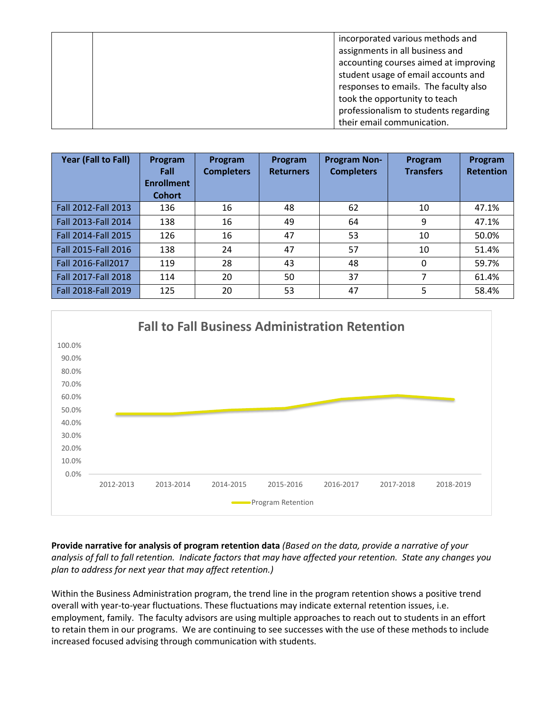|  | incorporated various methods and      |
|--|---------------------------------------|
|  | assignments in all business and       |
|  | accounting courses aimed at improving |
|  | student usage of email accounts and   |
|  | responses to emails. The faculty also |
|  | took the opportunity to teach         |
|  | professionalism to students regarding |
|  | their email communication.            |

| Year (Fall to Fall) | Program<br>Fall<br><b>Enrollment</b><br><b>Cohort</b> | Program<br><b>Completers</b> | Program<br><b>Returners</b> | <b>Program Non-</b><br><b>Completers</b> | Program<br><b>Transfers</b> | Program<br><b>Retention</b> |
|---------------------|-------------------------------------------------------|------------------------------|-----------------------------|------------------------------------------|-----------------------------|-----------------------------|
| Fall 2012-Fall 2013 | 136                                                   | 16                           | 48                          | 62                                       | 10                          | 47.1%                       |
| Fall 2013-Fall 2014 | 138                                                   | 16                           | 49                          | 64                                       | 9                           | 47.1%                       |
| Fall 2014-Fall 2015 | 126                                                   | 16                           | 47                          | 53                                       | 10                          | 50.0%                       |
| Fall 2015-Fall 2016 | 138                                                   | 24                           | 47                          | 57                                       | 10                          | 51.4%                       |
| Fall 2016-Fall 2017 | 119                                                   | 28                           | 43                          | 48                                       | 0                           | 59.7%                       |
| Fall 2017-Fall 2018 | 114                                                   | 20                           | 50                          | 37                                       | 7                           | 61.4%                       |
| Fall 2018-Fall 2019 | 125                                                   | 20                           | 53                          | 47                                       | 5                           | 58.4%                       |



**Provide narrative for analysis of program retention data** *(Based on the data, provide a narrative of your analysis of fall to fall retention. Indicate factors that may have affected your retention. State any changes you plan to address for next year that may affect retention.)*

Within the Business Administration program, the trend line in the program retention shows a positive trend overall with year-to-year fluctuations. These fluctuations may indicate external retention issues, i.e. employment, family. The faculty advisors are using multiple approaches to reach out to students in an effort to retain them in our programs. We are continuing to see successes with the use of these methods to include increased focused advising through communication with students.